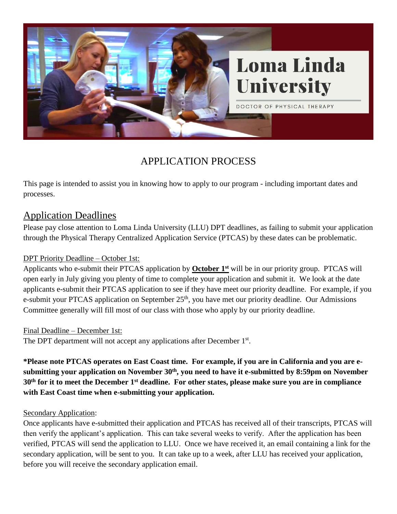

# APPLICATION PROCESS

This page is intended to assist you in knowing how to apply to our program - including important dates and processes.

## Application Deadlines

Please pay close attention to Loma Linda University (LLU) DPT deadlines, as failing to submit your application through the Physical Therapy Centralized Application Service (PTCAS) by these dates can be problematic.

#### DPT Priority Deadline – October 1st:

Applicants who e-submit their PTCAS application by **October 1**<sup>st</sup> will be in our priority group. PTCAS will open early in July giving you plenty of time to complete your application and submit it. We look at the date applicants e-submit their PTCAS application to see if they have meet our priority deadline. For example, if you e-submit your PTCAS application on September 25<sup>th</sup>, you have met our priority deadline. Our Admissions Committee generally will fill most of our class with those who apply by our priority deadline.

#### Final Deadline – December 1st:

The DPT department will not accept any applications after December 1<sup>st</sup>.

**\*Please note PTCAS operates on East Coast time. For example, if you are in California and you are esubmitting your application on November 30th, you need to have it e-submitted by 8:59pm on November 30th for it to meet the December 1 st deadline. For other states, please make sure you are in compliance with East Coast time when e-submitting your application.**

#### Secondary Application:

Once applicants have e-submitted their application and PTCAS has received all of their transcripts, PTCAS will then verify the applicant's application. This can take several weeks to verify. After the application has been verified, PTCAS will send the application to LLU. Once we have received it, an email containing a link for the secondary application, will be sent to you. It can take up to a week, after LLU has received your application, before you will receive the secondary application email.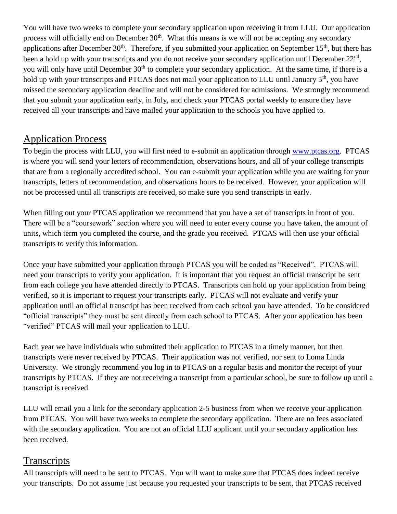You will have two weeks to complete your secondary application upon receiving it from LLU. Our application process will officially end on December 30<sup>th</sup>. What this means is we will not be accepting any secondary applications after December  $30<sup>th</sup>$ . Therefore, if you submitted your application on September 15<sup>th</sup>, but there has been a hold up with your transcripts and you do not receive your secondary application until December 22<sup>nd</sup>, you will only have until December 30<sup>th</sup> to complete your secondary application. At the same time, if there is a hold up with your transcripts and PTCAS does not mail your application to LLU until January 5<sup>th</sup>, you have missed the secondary application deadline and will not be considered for admissions. We strongly recommend that you submit your application early, in July, and check your PTCAS portal weekly to ensure they have received all your transcripts and have mailed your application to the schools you have applied to.

### Application Process

To begin the process with LLU, you will first need to e-submit an application through [www.ptcas.org.](http://www.ptcas.org/) PTCAS is where you will send your letters of recommendation, observations hours, and all of your college transcripts that are from a regionally accredited school. You can e-submit your application while you are waiting for your transcripts, letters of recommendation, and observations hours to be received. However, your application will not be processed until all transcripts are received, so make sure you send transcripts in early.

When filling out your PTCAS application we recommend that you have a set of transcripts in front of you. There will be a "coursework" section where you will need to enter every course you have taken, the amount of units, which term you completed the course, and the grade you received. PTCAS will then use your official transcripts to verify this information.

Once your have submitted your application through PTCAS you will be coded as "Received". PTCAS will need your transcripts to verify your application. It is important that you request an official transcript be sent from each college you have attended directly to PTCAS. Transcripts can hold up your application from being verified, so it is important to request your transcripts early. PTCAS will not evaluate and verify your application until an official transcript has been received from each school you have attended. To be considered "official transcripts" they must be sent directly from each school to PTCAS. After your application has been "verified" PTCAS will mail your application to LLU.

Each year we have individuals who submitted their application to PTCAS in a timely manner, but then transcripts were never received by PTCAS. Their application was not verified, nor sent to Loma Linda University. We strongly recommend you log in to PTCAS on a regular basis and monitor the receipt of your transcripts by PTCAS. If they are not receiving a transcript from a particular school, be sure to follow up until a transcript is received.

LLU will email you a link for the secondary application 2-5 business from when we receive your application from PTCAS. You will have two weeks to complete the secondary application. There are no fees associated with the secondary application. You are not an official LLU applicant until your secondary application has been received.

## **Transcripts**

All transcripts will need to be sent to PTCAS. You will want to make sure that PTCAS does indeed receive your transcripts. Do not assume just because you requested your transcripts to be sent, that PTCAS received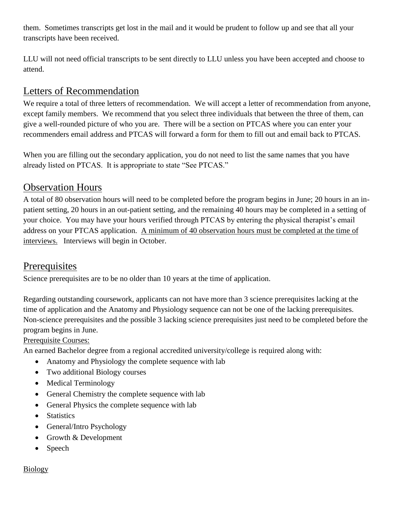them. Sometimes transcripts get lost in the mail and it would be prudent to follow up and see that all your transcripts have been received.

LLU will not need official transcripts to be sent directly to LLU unless you have been accepted and choose to attend.

## Letters of Recommendation

We require a total of three letters of recommendation. We will accept a letter of recommendation from anyone, except family members. We recommend that you select three individuals that between the three of them, can give a well-rounded picture of who you are. There will be a section on PTCAS where you can enter your recommenders email address and PTCAS will forward a form for them to fill out and email back to PTCAS.

When you are filling out the secondary application, you do not need to list the same names that you have already listed on PTCAS. It is appropriate to state "See PTCAS."

### Observation Hours

A total of 80 observation hours will need to be completed before the program begins in June; 20 hours in an inpatient setting, 20 hours in an out-patient setting, and the remaining 40 hours may be completed in a setting of your choice. You may have your hours verified through PTCAS by entering the physical therapist's email address on your PTCAS application. A minimum of 40 observation hours must be completed at the time of interviews. Interviews will begin in October.

### Prerequisites

Science prerequisites are to be no older than 10 years at the time of application.

Regarding outstanding coursework, applicants can not have more than 3 science prerequisites lacking at the time of application and the Anatomy and Physiology sequence can not be one of the lacking prerequisites. Non-science prerequisites and the possible 3 lacking science prerequisites just need to be completed before the program begins in June.

#### Prerequisite Courses:

An earned Bachelor degree from a regional accredited university/college is required along with:

- Anatomy and Physiology the complete sequence with lab
- Two additional Biology courses
- Medical Terminology
- General Chemistry the complete sequence with lab
- General Physics the complete sequence with lab
- Statistics
- General/Intro Psychology
- Growth & Development
- Speech

#### **Biology**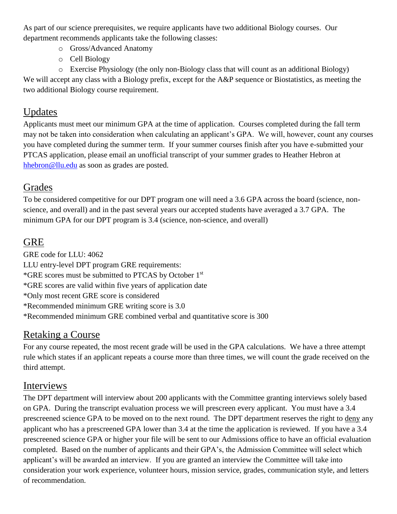As part of our science prerequisites, we require applicants have two additional Biology courses. Our department recommends applicants take the following classes:

- o Gross/Advanced Anatomy
- o Cell Biology
- o Exercise Physiology (the only non-Biology class that will count as an additional Biology)

We will accept any class with a Biology prefix, except for the A&P sequence or Biostatistics, as meeting the two additional Biology course requirement.

## Updates

Applicants must meet our minimum GPA at the time of application. Courses completed during the fall term may not be taken into consideration when calculating an applicant's GPA. We will, however, count any courses you have completed during the summer term. If your summer courses finish after you have e-submitted your PTCAS application, please email an unofficial transcript of your summer grades to Heather Hebron at [hhebron@llu.edu](mailto:hhebron@llu.edu) as soon as grades are posted.

## Grades

To be considered competitive for our DPT program one will need a 3.6 GPA across the board (science, nonscience, and overall) and in the past several years our accepted students have averaged a 3.7 GPA. The minimum GPA for our DPT program is 3.4 (science, non-science, and overall)

# GRE

GRE code for LLU: 4062 LLU entry-level DPT program GRE requirements: \*GRE scores must be submitted to PTCAS by October 1st \*GRE scores are valid within five years of application date \*Only most recent GRE score is considered \*Recommended minimum GRE writing score is 3.0 \*Recommended minimum GRE combined verbal and quantitative score is 300

# Retaking a Course

For any course repeated, the most recent grade will be used in the GPA calculations. We have a three attempt rule which states if an applicant repeats a course more than three times, we will count the grade received on the third attempt.

### Interviews

The DPT department will interview about 200 applicants with the Committee granting interviews solely based on GPA. During the transcript evaluation process we will prescreen every applicant. You must have a 3.4 prescreened science GPA to be moved on to the next round. The DPT department reserves the right to deny any applicant who has a prescreened GPA lower than 3.4 at the time the application is reviewed. If you have a 3.4 prescreened science GPA or higher your file will be sent to our Admissions office to have an official evaluation completed. Based on the number of applicants and their GPA's, the Admission Committee will select which applicant's will be awarded an interview. If you are granted an interview the Committee will take into consideration your work experience, volunteer hours, mission service, grades, communication style, and letters of recommendation.